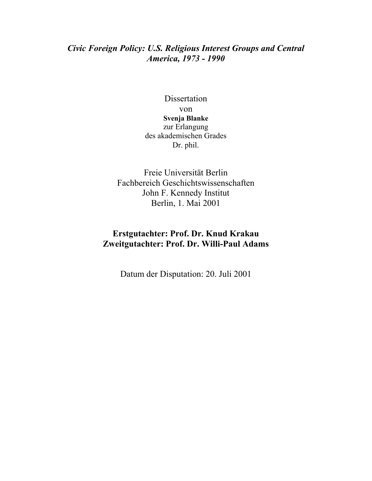### *Civic Foreign Policy: U.S. Religious Interest Groups and Central America, 1973 - 1990*

Dissertation von **Svenja Blanke** zur Erlangung des akademischen Grades Dr. phil.

Freie Universität Berlin Fachbereich Geschichtswissenschaften John F. Kennedy Institut Berlin, 1. Mai 2001

# **Erstgutachter: Prof. Dr. Knud Krakau Zweitgutachter: Prof. Dr. Willi-Paul Adams**

Datum der Disputation: 20. Juli 2001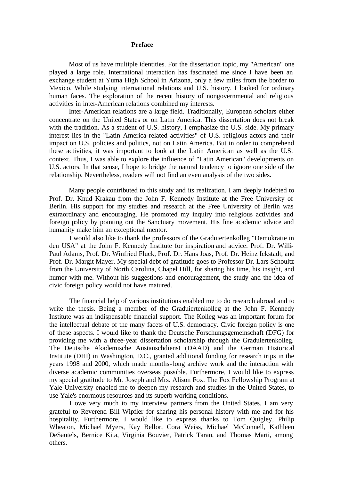#### **Preface**

Most of us have multiple identities. For the dissertation topic, my "American" one played a large role. International interaction has fascinated me since I have been an exchange student at Yuma High School in Arizona, only a few miles from the border to Mexico. While studying international relations and U.S. history, I looked for ordinary human faces. The exploration of the recent history of nongovernmental and religious activities in inter-American relations combined my interests.

Inter-American relations are a large field. Traditionally, European scholars either concentrate on the United States or on Latin America. This dissertation does not break with the tradition. As a student of U.S. history, I emphasize the U.S. side. My primary interest lies in the "Latin America-related activities" of U.S. religious actors and their impact on U.S. policies and politics, not on Latin America. But in order to comprehend these activities, it was important to look at the Latin American as well as the U.S. context. Thus, I was able to explore the influence of "Latin American" developments on U.S. actors. In that sense, I hope to bridge the natural tendency to ignore one side of the relationship. Nevertheless, readers will not find an even analysis of the two sides.

Many people contributed to this study and its realization. I am deeply indebted to Prof. Dr. Knud Krakau from the John F. Kennedy Institute at the Free University of Berlin. His support for my studies and research at the Free University of Berlin was extraordinary and encouraging. He promoted my inquiry into religious activities and foreign policy by pointing out the Sanctuary movement. His fine academic advice and humanity make him an exceptional mentor.

I would also like to thank the professors of the Graduiertenkolleg "Demokratie in den USA" at the John F. Kennedy Institute for inspiration and advice: Prof. Dr. Willi-Paul Adams, Prof. Dr. Winfried Fluck, Prof. Dr. Hans Joas, Prof. Dr. Heinz Ickstadt, and Prof. Dr. Margit Mayer. My special debt of gratitude goes to Professor Dr. Lars Schoultz from the University of North Carolina, Chapel Hill, for sharing his time, his insight, and humor with me. Without his suggestions and encouragement, the study and the idea of civic foreign policy would not have matured.

The financial help of various institutions enabled me to do research abroad and to write the thesis. Being a member of the Graduiertenkolleg at the John F. Kennedy Institute was an indispensable financial support. The Kolleg was an important forum for the intellectual debate of the many facets of U.S. democracy. Civic foreign policy is one of these aspects. I would like to thank the Deutsche Forschungsgemeinschaft (DFG) for providing me with a three-year dissertation scholarship through the Graduiertenkolleg. The Deutsche Akademische Austauschdienst (DAAD) and the German Historical Institute (DHI) in Washington, D.C., granted additional funding for research trips in the years 1998 and 2000, which made months-long archive work and the interaction with diverse academic communities overseas possible. Furthermore, I would like to express my special gratitude to Mr. Joseph and Mrs. Alison Fox. The Fox Fellowship Program at Yale University enabled me to deepen my research and studies in the United States, to use Yale's enormous resources and its superb working conditions.

I owe very much to my interview partners from the United States. I am very grateful to Reverend Bill Wipfler for sharing his personal history with me and for his hospitality. Furthermore, I would like to express thanks to Tom Quigley, Philip Wheaton, Michael Myers, Kay Bellor, Cora Weiss, Michael McConnell, Kathleen DeSautels, Bernice Kita, Virginia Bouvier, Patrick Taran, and Thomas Marti, among others.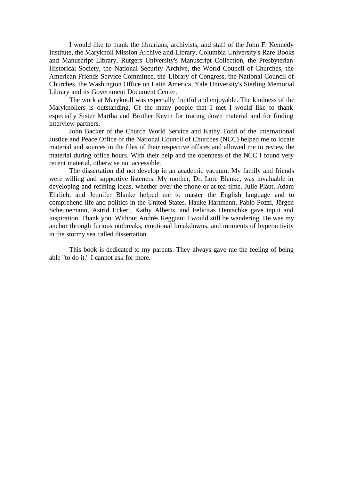I would like to thank the librarians, archivists, and staff of the John F. Kennedy Institute, the Maryknoll Mission Archive and Library, Columbia University's Rare Books and Manuscript Library, Rutgers University's Manuscript Collection, the Presbyterian Historical Society, the National Security Archive, the World Council of Churches, the American Friends Service Committee, the Library of Congress, the National Council of Churches, the Washington Office on Latin America, Yale University's Sterling Memorial Library and its Government Document Center.

The work at Maryknoll was especially fruitful and enjoyable. The kindness of the Maryknollers is outstanding. Of the many people that I met I would like to thank especially Sister Martha and Brother Kevin for tracing down material and for finding interview partners.

John Backer of the Church World Service and Kathy Todd of the International Justice and Peace Office of the National Council of Churches (NCC) helped me to locate material and sources in the files of their respective offices and allowed me to review the material during office hours. With their help and the openness of the NCC I found very recent material, otherwise not accessible.

The dissertation did not develop in an academic vacuum. My family and friends were willing and supportive listeners. My mother, Dr. Lore Blanke, was invaluable in developing and refining ideas, whether over the phone or at tea-time. Julie Plaut, Adam Ehrlich, and Jennifer Blanke helped me to master the English language and to comprehend life and politics in the United States. Hauke Hartmann, Pablo Pozzi, Jürgen Scheunemann, Astrid Eckert, Kathy Alberts, and Felicitas Hentschke gave input and inspiration. Thank you. Without Andrés Reggiani I would still be wandering. He was my anchor through furious outbreaks, emotional breakdowns, and moments of hyperactivity in the stormy sea called dissertation.

This book is dedicated to my parents. They always gave me the feeling of being able "to do it." I cannot ask for more.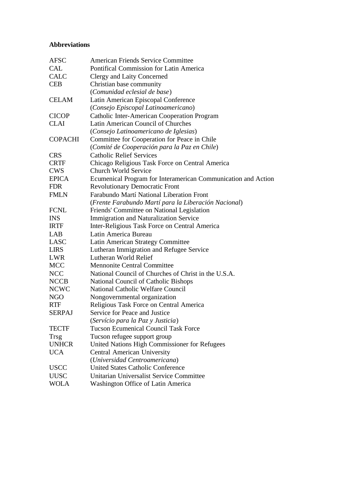# **Abbreviations**

| <b>AFSC</b>    | <b>American Friends Service Committee</b>                     |
|----------------|---------------------------------------------------------------|
| <b>CAL</b>     | Pontifical Commission for Latin America                       |
| <b>CALC</b>    | <b>Clergy and Laity Concerned</b>                             |
| <b>CEB</b>     | Christian base community                                      |
|                | (Comunidad eclesial de base)                                  |
| <b>CELAM</b>   | Latin American Episcopal Conference                           |
|                | (Consejo Episcopal Latinoamericano)                           |
| <b>CICOP</b>   | <b>Catholic Inter-American Cooperation Program</b>            |
| <b>CLAI</b>    | Latin American Council of Churches                            |
|                | (Consejo Latinoamericano de Iglesias)                         |
| <b>COPACHI</b> | Committee for Cooperation for Peace in Chile                  |
|                | (Comité de Cooperación para la Paz en Chile)                  |
| <b>CRS</b>     | <b>Catholic Relief Services</b>                               |
| <b>CRTF</b>    | Chicago Religious Task Force on Central America               |
| <b>CWS</b>     | <b>Church World Service</b>                                   |
| <b>EPICA</b>   | Ecumenical Program for Interamerican Communication and Action |
| <b>FDR</b>     | <b>Revolutionary Democratic Front</b>                         |
| <b>FMLN</b>    | Farabundo Martí National Liberation Front                     |
|                | (Frente Farabundo Martí para la Liberación Nacional)          |
| <b>FCNL</b>    | Friends' Committee on National Legislation                    |
| <b>INS</b>     | <b>Immigration and Naturalization Service</b>                 |
| <b>IRTF</b>    | Inter-Religious Task Force on Central America                 |
| LAB            | Latin America Bureau                                          |
| <b>LASC</b>    | Latin American Strategy Committee                             |
| <b>LIRS</b>    | Lutheran Immigration and Refugee Service                      |
| <b>LWR</b>     | Lutheran World Relief                                         |
| <b>MCC</b>     | <b>Mennonite Central Committee</b>                            |
| <b>NCC</b>     | National Council of Churches of Christ in the U.S.A.          |
| <b>NCCB</b>    | National Council of Catholic Bishops                          |
| <b>NCWC</b>    | <b>National Catholic Welfare Council</b>                      |
| <b>NGO</b>     | Nongovernmental organization                                  |
| <b>RTF</b>     | Religious Task Force on Central America                       |
| <b>SERPAJ</b>  | Service for Peace and Justice                                 |
|                | (Servício para la Paz y Justicia)                             |
| <b>TECTF</b>   | <b>Tucson Ecumenical Council Task Force</b>                   |
| Trsg           | Tucson refugee support group                                  |
| <b>UNHCR</b>   | United Nations High Commissioner for Refugees                 |
| <b>UCA</b>     | <b>Central American University</b>                            |
|                | (Universidad Centroamericana)                                 |
| <b>USCC</b>    | <b>United States Catholic Conference</b>                      |
| <b>UUSC</b>    | Unitarian Universalist Service Committee                      |
| <b>WOLA</b>    | Washington Office of Latin America                            |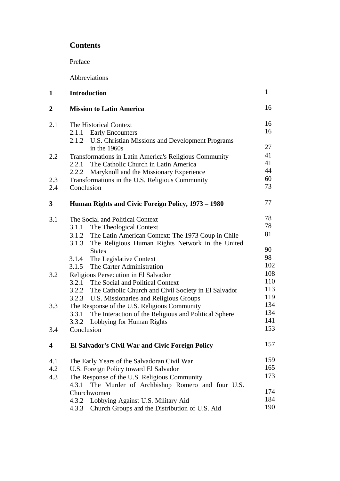# **Contents**

Preface

Abbreviations

| $\mathbf{1}$           | <b>Introduction</b>                                                                                        |                                               | $\mathbf{1}$ |
|------------------------|------------------------------------------------------------------------------------------------------------|-----------------------------------------------|--------------|
| $\boldsymbol{2}$       | <b>Mission to Latin America</b>                                                                            |                                               | 16           |
| 2.1                    | The Historical Context<br>2.1.1 Early Encounters<br>2.1.2 U.S. Christian Missions and Development Programs |                                               | 16<br>16     |
|                        | in the $1960s$                                                                                             |                                               | 27           |
| 2.2                    | Transformations in Latin America's Religious Community                                                     |                                               | 41           |
|                        | The Catholic Church in Latin America<br>2.2.1                                                              |                                               | 41           |
|                        | Maryknoll and the Missionary Experience<br>2.2.2                                                           |                                               | 44           |
| 2.3<br>2.4             | Transformations in the U.S. Religious Community<br>Conclusion                                              |                                               | 60<br>73     |
| 3                      | Human Rights and Civic Foreign Policy, 1973 – 1980                                                         |                                               | 77           |
| 3.1                    | The Social and Political Context                                                                           |                                               | 78           |
|                        | The Theological Context<br>3.1.1                                                                           |                                               | 78           |
|                        | 3.1.2 The Latin American Context: The 1973 Coup in Chile                                                   |                                               | 81           |
|                        | The Religious Human Rights Network in the United<br>3.1.3                                                  |                                               |              |
|                        | <b>States</b>                                                                                              |                                               | 90           |
|                        | The Legislative Context<br>3.1.4                                                                           |                                               | 98<br>102    |
|                        | 3.1.5 The Carter Administration                                                                            |                                               | 108          |
| 3.2                    | Religious Persecution in El Salvador<br>3.2.1<br>The Social and Political Context                          |                                               | 110          |
|                        | 3.2.2 The Catholic Church and Civil Society in El Salvador                                                 |                                               | 113          |
|                        | 3.2.3 U.S. Missionaries and Religious Groups                                                               |                                               | 119          |
| 3.3                    |                                                                                                            | The Response of the U.S. Religious Community  |              |
|                        | The Interaction of the Religious and Political Sphere<br>3.3.1                                             |                                               | 134          |
|                        | 3.3.2 Lobbying for Human Rights                                                                            |                                               | 141          |
| 3.4                    | Conclusion                                                                                                 |                                               | 153          |
| $\boldsymbol{\Lambda}$ | El Salvador's Civil War and Civic Foreign Policy                                                           |                                               | 157          |
| 4.1                    | The Early Years of the Salvadoran Civil War                                                                |                                               | 159          |
| 4.2                    | U.S. Foreign Policy toward El Salvador                                                                     |                                               | 165          |
| 4.3                    | The Response of the U.S. Religious Community                                                               |                                               | 173          |
|                        | 4.3.1                                                                                                      | The Murder of Archbishop Romero and four U.S. |              |
|                        | Churchwomen                                                                                                |                                               | 174          |
|                        | 4.3.2 Lobbying Against U.S. Military Aid                                                                   |                                               | 184          |
|                        | Church Groups and the Distribution of U.S. Aid<br>4.3.3                                                    |                                               | 190          |